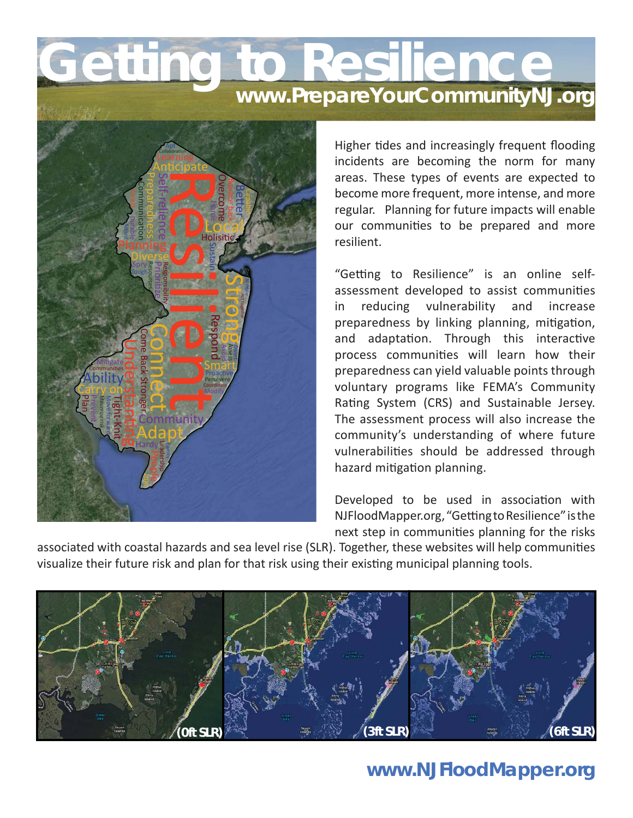## **Getting to Resilience www.PrepareYourCommunityNJ.org**



Higher tides and increasingly frequent flooding incidents are becoming the norm for many areas. These types of events are expected to become more frequent, more intense, and more regular. Planning for future impacts will enable our communities to be prepared and more resilient.

"Getting to Resilience" is an online selfassessment developed to assist communities in reducing vulnerability and increase preparedness by linking planning, mitigation, and adaptation. Through this interactive process communities will learn how their preparedness can yield valuable points through voluntary programs like FEMA's Community Rating System (CRS) and Sustainable Jersey. The assessment process will also increase the community's understanding of where future vulnerabilities should be addressed through hazard mitigation planning.

Developed to be used in association with NJFloodMapper.org, "Getting to Resilience" is the next step in communities planning for the risks

associated with coastal hazards and sea level rise (SLR). Together, these websites will help communities visualize their future risk and plan for that risk using their existing municipal planning tools.



## **www.NJFloodMapper.org**